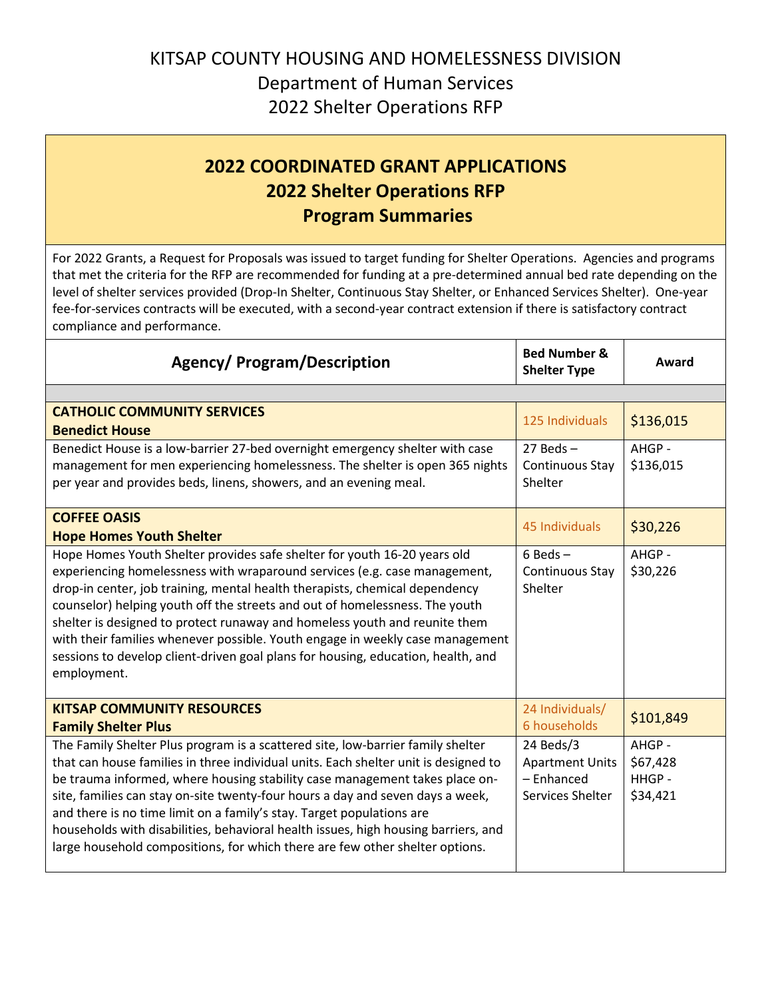## KITSAP COUNTY HOUSING AND HOMELESSNESS DIVISION Department of Human Services 2022 Shelter Operations RFP

## **2022 COORDINATED GRANT APPLICATIONS 2022 Shelter Operations RFP Program Summaries**

For 2022 Grants, a Request for Proposals was issued to target funding for Shelter Operations. Agencies and programs that met the criteria for the RFP are recommended for funding at a pre-determined annual bed rate depending on the level of shelter services provided (Drop-In Shelter, Continuous Stay Shelter, or Enhanced Services Shelter). One-year fee-for-services contracts will be executed, with a second-year contract extension if there is satisfactory contract compliance and performance.

| <b>Agency/ Program/Description</b>                                                                                                                                                                                                                                                                                                                                                                                                                                                                                                                                                     | <b>Bed Number &amp;</b><br><b>Shelter Type</b>                        | Award                                  |  |
|----------------------------------------------------------------------------------------------------------------------------------------------------------------------------------------------------------------------------------------------------------------------------------------------------------------------------------------------------------------------------------------------------------------------------------------------------------------------------------------------------------------------------------------------------------------------------------------|-----------------------------------------------------------------------|----------------------------------------|--|
|                                                                                                                                                                                                                                                                                                                                                                                                                                                                                                                                                                                        |                                                                       |                                        |  |
| <b>CATHOLIC COMMUNITY SERVICES</b><br><b>Benedict House</b>                                                                                                                                                                                                                                                                                                                                                                                                                                                                                                                            | 125 Individuals                                                       | \$136,015                              |  |
| Benedict House is a low-barrier 27-bed overnight emergency shelter with case<br>management for men experiencing homelessness. The shelter is open 365 nights<br>per year and provides beds, linens, showers, and an evening meal.                                                                                                                                                                                                                                                                                                                                                      | $27$ Beds $-$<br>Continuous Stay<br>Shelter                           | AHGP -<br>\$136,015                    |  |
| <b>COFFEE OASIS</b><br><b>Hope Homes Youth Shelter</b>                                                                                                                                                                                                                                                                                                                                                                                                                                                                                                                                 | 45 Individuals                                                        | \$30,226                               |  |
| Hope Homes Youth Shelter provides safe shelter for youth 16-20 years old<br>experiencing homelessness with wraparound services (e.g. case management,<br>drop-in center, job training, mental health therapists, chemical dependency<br>counselor) helping youth off the streets and out of homelessness. The youth<br>shelter is designed to protect runaway and homeless youth and reunite them<br>with their families whenever possible. Youth engage in weekly case management<br>sessions to develop client-driven goal plans for housing, education, health, and<br>employment.  | $6$ Beds $-$<br>Continuous Stay<br>Shelter                            | AHGP -<br>\$30,226                     |  |
| <b>KITSAP COMMUNITY RESOURCES</b><br><b>Family Shelter Plus</b>                                                                                                                                                                                                                                                                                                                                                                                                                                                                                                                        | 24 Individuals/<br>6 households                                       | \$101,849                              |  |
| The Family Shelter Plus program is a scattered site, low-barrier family shelter<br>that can house families in three individual units. Each shelter unit is designed to<br>be trauma informed, where housing stability case management takes place on-<br>site, families can stay on-site twenty-four hours a day and seven days a week,<br>and there is no time limit on a family's stay. Target populations are<br>households with disabilities, behavioral health issues, high housing barriers, and<br>large household compositions, for which there are few other shelter options. | 24 Beds/3<br><b>Apartment Units</b><br>- Enhanced<br>Services Shelter | AHGP-<br>\$67,428<br>HHGP-<br>\$34,421 |  |